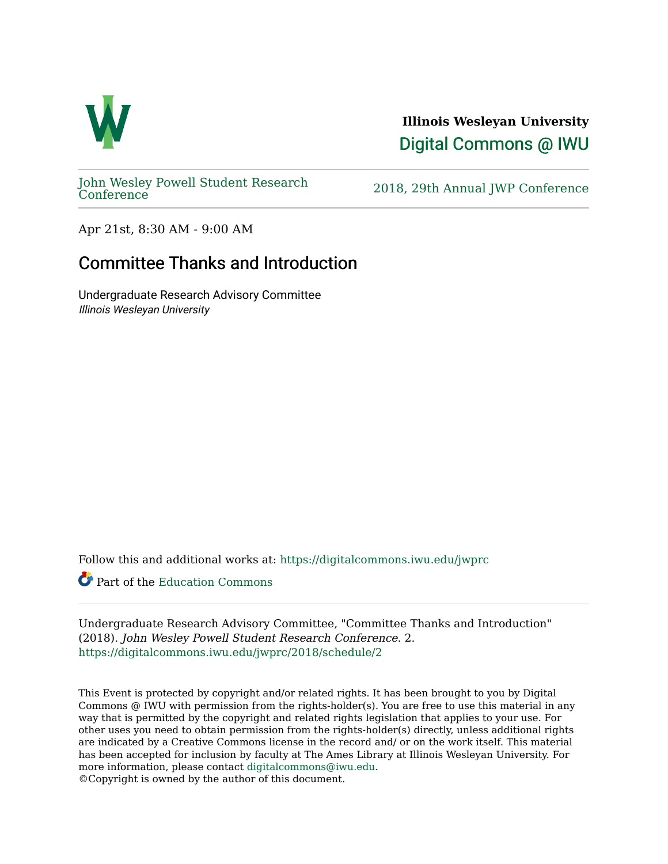

**Illinois Wesleyan University**  [Digital Commons @ IWU](https://digitalcommons.iwu.edu/) 

[John Wesley Powell Student Research](https://digitalcommons.iwu.edu/jwprc) 

2018, 29th Annual JWP [Conference](https://digitalcommons.iwu.edu/jwprc)

Apr 21st, 8:30 AM - 9:00 AM

## Committee Thanks and Introduction

Undergraduate Research Advisory Committee Illinois Wesleyan University

Follow this and additional works at: [https://digitalcommons.iwu.edu/jwprc](https://digitalcommons.iwu.edu/jwprc?utm_source=digitalcommons.iwu.edu%2Fjwprc%2F2018%2Fschedule%2F2&utm_medium=PDF&utm_campaign=PDFCoverPages) 

Part of the [Education Commons](http://network.bepress.com/hgg/discipline/784?utm_source=digitalcommons.iwu.edu%2Fjwprc%2F2018%2Fschedule%2F2&utm_medium=PDF&utm_campaign=PDFCoverPages)

Undergraduate Research Advisory Committee, "Committee Thanks and Introduction" (2018). John Wesley Powell Student Research Conference. 2. [https://digitalcommons.iwu.edu/jwprc/2018/schedule/2](https://digitalcommons.iwu.edu/jwprc/2018/schedule/2?utm_source=digitalcommons.iwu.edu%2Fjwprc%2F2018%2Fschedule%2F2&utm_medium=PDF&utm_campaign=PDFCoverPages) 

This Event is protected by copyright and/or related rights. It has been brought to you by Digital Commons @ IWU with permission from the rights-holder(s). You are free to use this material in any way that is permitted by the copyright and related rights legislation that applies to your use. For other uses you need to obtain permission from the rights-holder(s) directly, unless additional rights are indicated by a Creative Commons license in the record and/ or on the work itself. This material has been accepted for inclusion by faculty at The Ames Library at Illinois Wesleyan University. For more information, please contact [digitalcommons@iwu.edu](mailto:digitalcommons@iwu.edu). ©Copyright is owned by the author of this document.